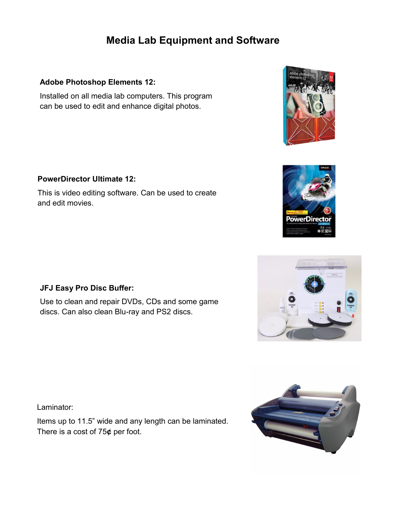# **Media Lab Equipment and Software**

# **Adobe Photoshop Elements 12:**

Installed on all media lab computers. This program can be used to edit and enhance digital photos.







# **PowerDirector Ultimate 12:**

This is video editing software. Can be used to create and edit movies.

# **JFJ Easy Pro Disc Buffer:**

Use to clean and repair DVDs, CDs and some game discs. Can also clean Blu-ray and PS2 discs.

Laminator:

Items up to 11.5" wide and any length can be laminated. There is a cost of 75**¢** per foot.

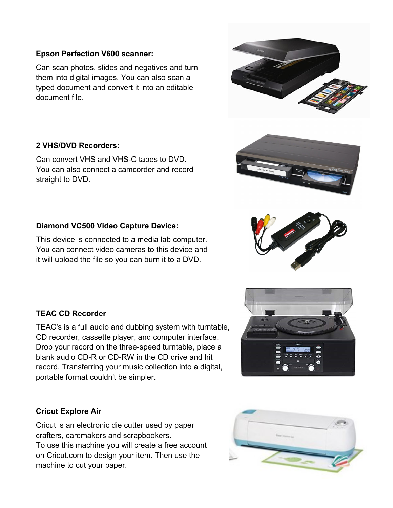## **Epson Perfection V600 scanner:**

Can scan photos, slides and negatives and turn them into digital images. You can also scan a typed document and convert it into an editable document file.

### **2 VHS/DVD Recorders:**

Can convert VHS and VHS-C tapes to DVD. You can also connect a camcorder and record straight to DVD.

### **Diamond VC500 Video Capture Device:**

This device is connected to a media lab computer. You can connect video cameras to this device and it will upload the file so you can burn it to a DVD.

#### **TEAC CD Recorder**

TEAC's is a full audio and dubbing system with turntable, CD recorder, cassette player, and computer interface. Drop your record on the three-speed turntable, place a blank audio CD-R or CD-RW in the CD drive and hit record. Transferring your music collection into a digital, portable format couldn't be simpler.

#### **Cricut Explore Air**

Cricut is an electronic die cutter used by paper crafters, cardmakers and scrapbookers. To use this machine you will create a free account on Cricut.com to design your item. Then use the machine to cut your paper.









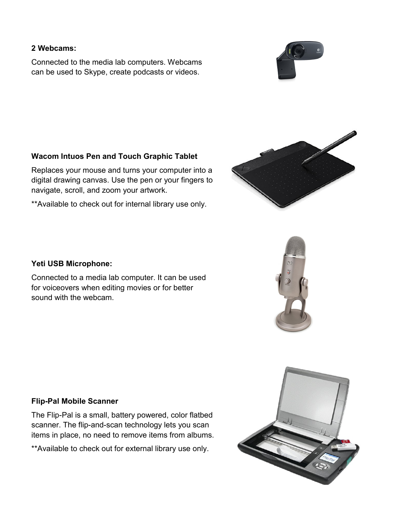# **2 Webcams:**

Connected to the media lab computers. Webcams can be used to Skype, create podcasts or videos.



# **Wacom Intuos Pen and Touch Graphic Tablet**

Replaces your mouse and turns your computer into a digital drawing canvas. Use the pen or your fingers to navigate, scroll, and zoom your artwork.

\*\*Available to check out for internal library use only.



#### **Yeti USB Microphone:**

Connected to a media lab computer. It can be used for voiceovers when editing movies or for better sound with the webcam.



#### **Flip-Pal Mobile Scanner**

The Flip-Pal is a small, battery powered, color flatbed scanner. The flip-and-scan technology lets you scan items in place, no need to remove items from albums.

\*\*Available to check out for external library use only.

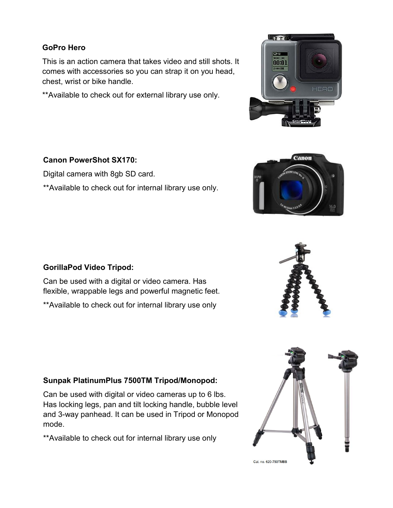# **GoPro Hero**

This is an action camera that takes video and still shots. It comes with accessories so you can strap it on you head, chest, wrist or bike handle.

\*\*Available to check out for external library use only.

# **Canon PowerShot SX170:**

Digital camera with 8gb SD card.

\*\*Available to check out for internal library use only.





# **GorillaPod Video Tripod:**

Can be used with a digital or video camera. Has flexible, wrappable legs and powerful magnetic feet.

\*\*Available to check out for internal library use only



# **Sunpak PlatinumPlus 7500TM Tripod/Monopod:**

Can be used with digital or video cameras up to 6 lbs. Has locking legs, pan and tilt locking handle, bubble level and 3-way panhead. It can be used in Tripod or Monopod mode.

\*\*Available to check out for internal library use only